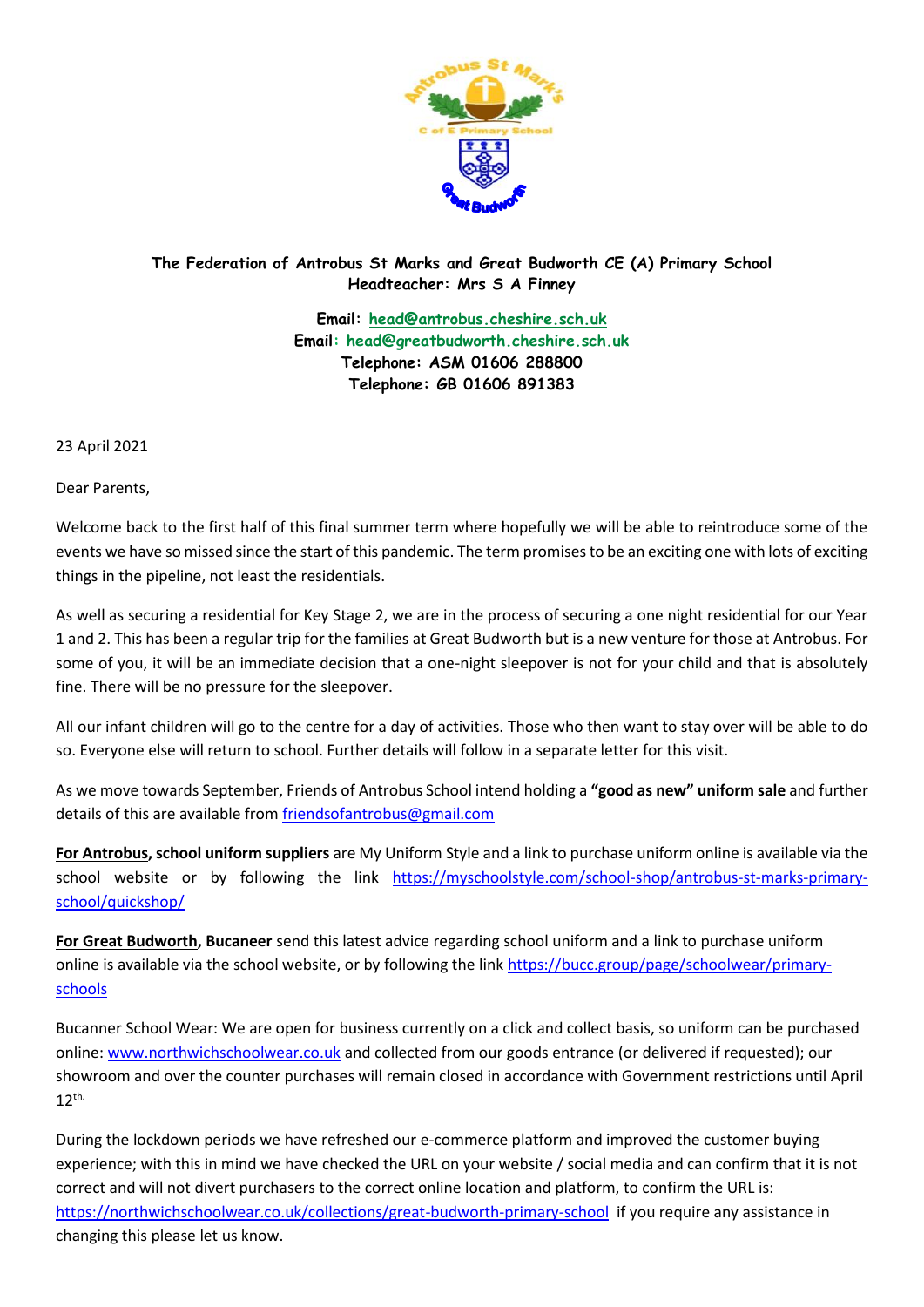

## **The Federation of Antrobus St Marks and Great Budworth CE (A) Primary School Headteacher: Mrs S A Finney**

**Email: [head@antrobus.cheshire.sch.uk](mailto:head@antrobus.cheshire.sch.uk) Email: [head@greatbudworth.cheshire.sch.uk](mailto:head@greatbudworth.cheshire.sch.uk) Telephone: ASM 01606 288800 Telephone: GB 01606 891383**

23 April 2021

Dear Parents,

Welcome back to the first half of this final summer term where hopefully we will be able to reintroduce some of the events we have so missed since the start of this pandemic. The term promises to be an exciting one with lots of exciting things in the pipeline, not least the residentials.

As well as securing a residential for Key Stage 2, we are in the process of securing a one night residential for our Year 1 and 2. This has been a regular trip for the families at Great Budworth but is a new venture for those at Antrobus. For some of you, it will be an immediate decision that a one-night sleepover is not for your child and that is absolutely fine. There will be no pressure for the sleepover.

All our infant children will go to the centre for a day of activities. Those who then want to stay over will be able to do so. Everyone else will return to school. Further details will follow in a separate letter for this visit.

As we move towards September, Friends of Antrobus School intend holding a **"good as new" uniform sale** and further details of this are available from [friendsofantrobus@gmail.com](mailto:friendsofantrobus@gmail.com)

**For Antrobus, school uniform suppliers** are My Uniform Style and a link to purchase uniform online is available via the school website or by following the link [https://myschoolstyle.com/school-shop/antrobus-st-marks-primary](https://myschoolstyle.com/school-shop/antrobus-st-marks-primary-school/quickshop/)[school/quickshop/](https://myschoolstyle.com/school-shop/antrobus-st-marks-primary-school/quickshop/)

**For Great Budworth, Bucaneer** send this latest advice regarding school uniform and a link to purchase uniform online is available via the school website, or by following the link [https://bucc.group/page/schoolwear/primary](https://bucc.group/page/schoolwear/primary-schools)[schools](https://bucc.group/page/schoolwear/primary-schools)

Bucanner School Wear: We are open for business currently on a click and collect basis, so uniform can be purchased online: [www.northwichschoolwear.co.uk](http://www.northwichschoolwear.co.uk/) and collected from our goods entrance (or delivered if requested); our showroom and over the counter purchases will remain closed in accordance with Government restrictions until April  $12<sup>th</sup>$ 

During the lockdown periods we have refreshed our e-commerce platform and improved the customer buying experience; with this in mind we have checked the URL on your website / social media and can confirm that it is not correct and will not divert purchasers to the correct online location and platform, to confirm the URL is: <https://northwichschoolwear.co.uk/collections/great-budworth-primary-school> if you require any assistance in changing this please let us know.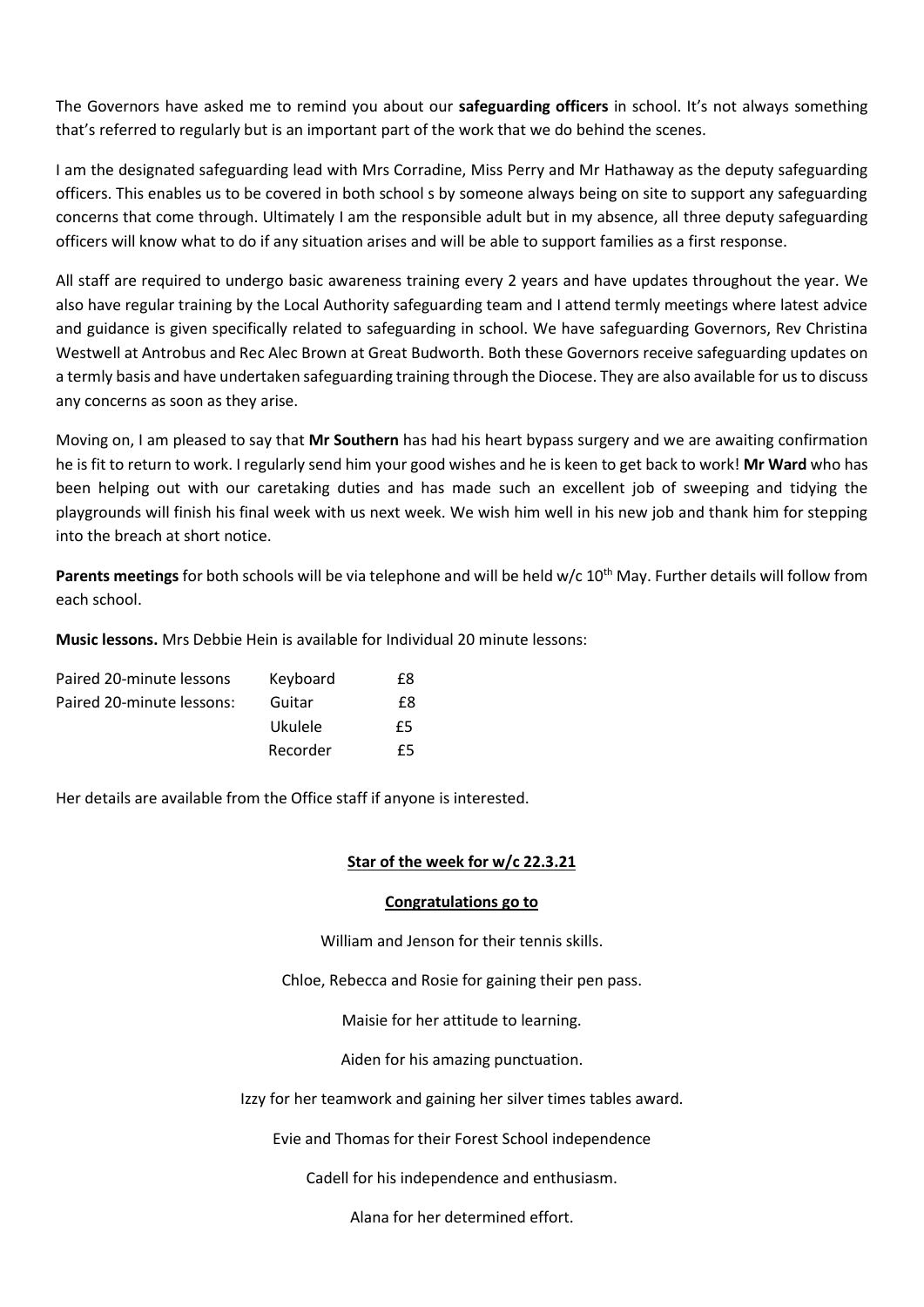The Governors have asked me to remind you about our **safeguarding officers** in school. It's not always something that's referred to regularly but is an important part of the work that we do behind the scenes.

I am the designated safeguarding lead with Mrs Corradine, Miss Perry and Mr Hathaway as the deputy safeguarding officers. This enables us to be covered in both school s by someone always being on site to support any safeguarding concerns that come through. Ultimately I am the responsible adult but in my absence, all three deputy safeguarding officers will know what to do if any situation arises and will be able to support families as a first response.

All staff are required to undergo basic awareness training every 2 years and have updates throughout the year. We also have regular training by the Local Authority safeguarding team and I attend termly meetings where latest advice and guidance is given specifically related to safeguarding in school. We have safeguarding Governors, Rev Christina Westwell at Antrobus and Rec Alec Brown at Great Budworth. Both these Governors receive safeguarding updates on a termly basis and have undertaken safeguarding training through the Diocese. They are also available for us to discuss any concerns as soon as they arise.

Moving on, I am pleased to say that **Mr Southern** has had his heart bypass surgery and we are awaiting confirmation he is fit to return to work. I regularly send him your good wishes and he is keen to get back to work! **Mr Ward** who has been helping out with our caretaking duties and has made such an excellent job of sweeping and tidying the playgrounds will finish his final week with us next week. We wish him well in his new job and thank him for stepping into the breach at short notice.

**Parents meetings** for both schools will be via telephone and will be held w/c 10<sup>th</sup> May. Further details will follow from each school.

**Music lessons.** Mrs Debbie Hein is available for Individual 20 minute lessons:

| Keyboard | £8 |
|----------|----|
| Guitar   | £8 |
| Ukulele  | £5 |
| Recorder | £5 |
|          |    |

Her details are available from the Office staff if anyone is interested.

## **Star of the week for w/c 22.3.21**

## **Congratulations go to**

William and Jenson for their tennis skills.

Chloe, Rebecca and Rosie for gaining their pen pass.

Maisie for her attitude to learning.

Aiden for his amazing punctuation.

Izzy for her teamwork and gaining her silver times tables award.

Evie and Thomas for their Forest School independence

Cadell for his independence and enthusiasm.

Alana for her determined effort.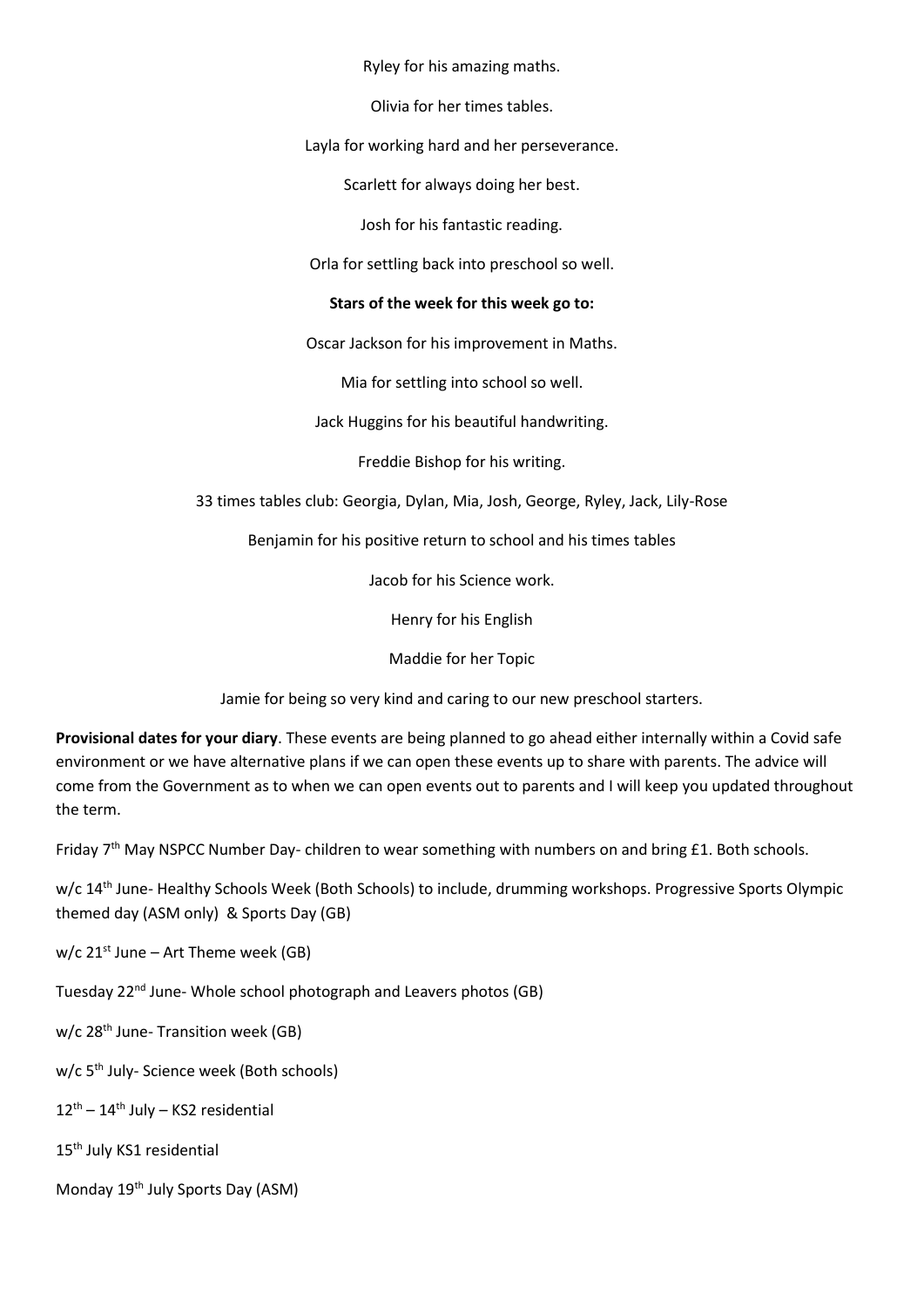Ryley for his amazing maths.

Olivia for her times tables.

Layla for working hard and her perseverance.

Scarlett for always doing her best.

Josh for his fantastic reading.

Orla for settling back into preschool so well.

## **Stars of the week for this week go to:**

Oscar Jackson for his improvement in Maths.

Mia for settling into school so well.

Jack Huggins for his beautiful handwriting.

Freddie Bishop for his writing.

33 times tables club: Georgia, Dylan, Mia, Josh, George, Ryley, Jack, Lily-Rose

Benjamin for his positive return to school and his times tables

Jacob for his Science work.

Henry for his English

Maddie for her Topic

Jamie for being so very kind and caring to our new preschool starters.

**Provisional dates for your diary**. These events are being planned to go ahead either internally within a Covid safe environment or we have alternative plans if we can open these events up to share with parents. The advice will come from the Government as to when we can open events out to parents and I will keep you updated throughout the term.

Friday 7<sup>th</sup> May NSPCC Number Day- children to wear something with numbers on and bring £1. Both schools.

w/c 14th June- Healthy Schools Week (Both Schools) to include, drumming workshops. Progressive Sports Olympic themed day (ASM only) & Sports Day (GB)

 $w/c$  21<sup>st</sup> June – Art Theme week (GB)

Tuesday 22<sup>nd</sup> June- Whole school photograph and Leavers photos (GB)

w/c 28<sup>th</sup> June- Transition week (GB)

w/c 5<sup>th</sup> July- Science week (Both schools)

 $12^{\text{th}} - 14^{\text{th}}$  July – KS2 residential

15<sup>th</sup> July KS1 residential

Monday 19<sup>th</sup> July Sports Day (ASM)